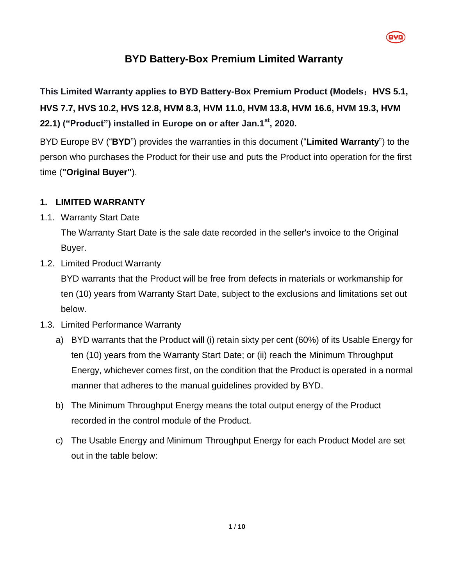

# **BYD Battery-Box Premium Limited Warranty**

**This Limited Warranty applies to BYD Battery-Box Premium Product (Models**:**HVS 5.1, HVS 7.7, HVS 10.2, HVS 12.8, HVM 8.3, HVM 11.0, HVM 13.8, HVM 16.6, HVM 19.3, HVM 22.1) ("Product") installed in Europe on or after Jan.1st, 2020.**

BYD Europe BV ("**BYD**") provides the warranties in this document ("**Limited Warranty**") to the person who purchases the Product for their use and puts the Product into operation for the first time (**"Original Buyer"**).

### **1. LIMITED WARRANTY**

1.1. Warranty Start Date

The Warranty Start Date is the sale date recorded in the seller's invoice to the Original Buyer.

<span id="page-0-1"></span>1.2. Limited Product Warranty

BYD warrants that the Product will be free from defects in materials or workmanship for ten (10) years from Warranty Start Date, subject to the exclusions and limitations set out below.

- <span id="page-0-0"></span>1.3. Limited Performance Warranty
	- a) BYD warrants that the Product will (i) retain sixty per cent (60%) of its Usable Energy for ten (10) years from the Warranty Start Date; or (ii) reach the Minimum Throughput Energy, whichever comes first, on the condition that the Product is operated in a normal manner that adheres to the manual guidelines provided by BYD.
	- b) The Minimum Throughput Energy means the total output energy of the Product recorded in the control module of the Product.
	- c) The Usable Energy and Minimum Throughput Energy for each Product Model are set out in the table below: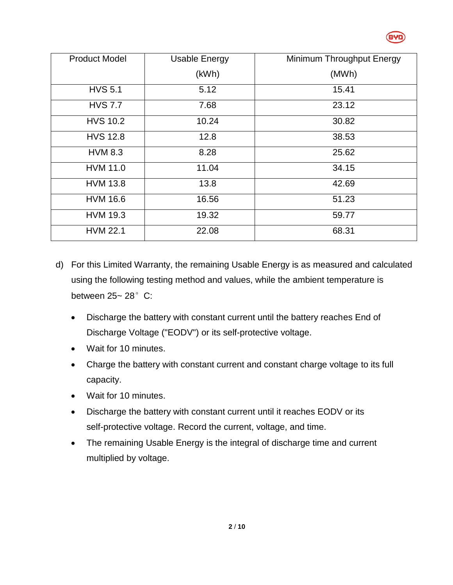

| <b>Product Model</b> | <b>Usable Energy</b> | Minimum Throughput Energy |
|----------------------|----------------------|---------------------------|
|                      | (kWh)                | (MWh)                     |
| <b>HVS 5.1</b>       | 5.12                 | 15.41                     |
| <b>HVS 7.7</b>       | 7.68                 | 23.12                     |
| <b>HVS 10.2</b>      | 10.24                | 30.82                     |
| <b>HVS 12.8</b>      | 12.8                 | 38.53                     |
| <b>HVM 8.3</b>       | 8.28                 | 25.62                     |
| <b>HVM 11.0</b>      | 11.04                | 34.15                     |
| <b>HVM 13.8</b>      | 13.8                 | 42.69                     |
| <b>HVM 16.6</b>      | 16.56                | 51.23                     |
| <b>HVM 19.3</b>      | 19.32                | 59.77                     |
| <b>HVM 22.1</b>      | 22.08                | 68.31                     |

- d) For this Limited Warranty, the remaining Usable Energy is as measured and calculated using the following testing method and values, while the ambient temperature is between  $25 - 28$ °C:
	- Discharge the battery with constant current until the battery reaches End of Discharge Voltage ("EODV") or its self-protective voltage.
	- Wait for 10 minutes.
	- Charge the battery with constant current and constant charge voltage to its full capacity.
	- Wait for 10 minutes.
	- Discharge the battery with constant current until it reaches EODV or its self-protective voltage. Record the current, voltage, and time.
	- The remaining Usable Energy is the integral of discharge time and current multiplied by voltage.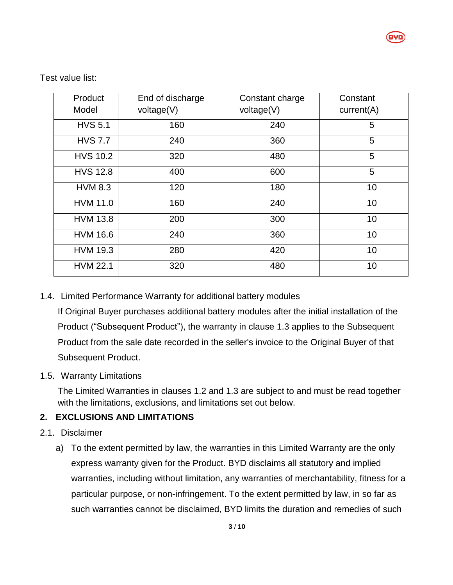

Test value list:

| Product         | End of discharge | Constant charge | Constant   |
|-----------------|------------------|-----------------|------------|
| Model           | voltage(V)       | voltage(V)      | current(A) |
| <b>HVS 5.1</b>  | 160              | 240             | 5          |
| <b>HVS 7.7</b>  | 240              | 360             | 5          |
| <b>HVS 10.2</b> | 320              | 480             | 5          |
| <b>HVS 12.8</b> | 400              | 600             | 5          |
| <b>HVM 8.3</b>  | 120              | 180             | 10         |
| <b>HVM 11.0</b> | 160              | 240             | 10         |
| <b>HVM 13.8</b> | 200              | 300             | 10         |
| <b>HVM 16.6</b> | 240              | 360             | 10         |
| <b>HVM 19.3</b> | 280              | 420             | 10         |
| <b>HVM 22.1</b> | 320              | 480             | 10         |

### 1.4. Limited Performance Warranty for additional battery modules

If Original Buyer purchases additional battery modules after the initial installation of the Product ("Subsequent Product"), the warranty in clause [1.3](#page-0-0) applies to the Subsequent Product from the sale date recorded in the seller's invoice to the Original Buyer of that Subsequent Product.

#### 1.5. Warranty Limitations

The Limited Warranties in clauses [1.2](#page-0-1) and [1.3](#page-0-0) are subject to and must be read together with the limitations, exclusions, and limitations set out below.

### **2. EXCLUSIONS AND LIMITATIONS**

- 2.1. Disclaimer
	- a) To the extent permitted by law, the warranties in this Limited Warranty are the only express warranty given for the Product. BYD disclaims all statutory and implied warranties, including without limitation, any warranties of merchantability, fitness for a particular purpose, or non-infringement. To the extent permitted by law, in so far as such warranties cannot be disclaimed, BYD limits the duration and remedies of such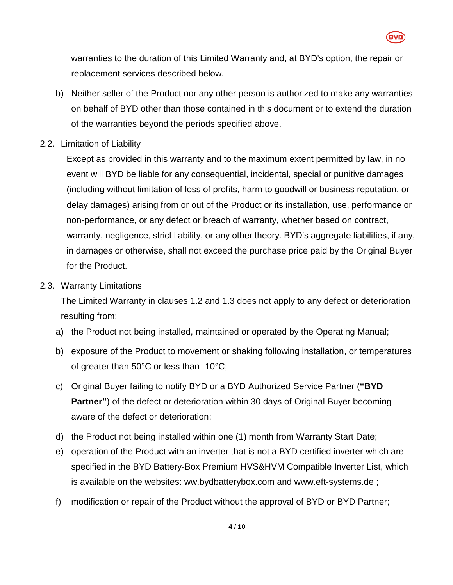

warranties to the duration of this Limited Warranty and, at BYD's option, the repair or replacement services described below.

- b) Neither seller of the Product nor any other person is authorized to make any warranties on behalf of BYD other than those contained in this document or to extend the duration of the warranties beyond the periods specified above.
- 2.2. Limitation of Liability

Except as provided in this warranty and to the maximum extent permitted by law, in no event will BYD be liable for any consequential, incidental, special or punitive damages (including without limitation of loss of profits, harm to goodwill or business reputation, or delay damages) arising from or out of the Product or its installation, use, performance or non-performance, or any defect or breach of warranty, whether based on contract, warranty, negligence, strict liability, or any other theory. BYD's aggregate liabilities, if any, in damages or otherwise, shall not exceed the purchase price paid by the Original Buyer for the Product.

2.3. Warranty Limitations

The Limited Warranty in clauses [1.2](#page-0-1) and [1.3](#page-0-0) does not apply to any defect or deterioration resulting from:

- a) the Product not being installed, maintained or operated by the Operating Manual;
- b) exposure of the Product to movement or shaking following installation, or temperatures of greater than 50°C or less than -10°C;
- c) Original Buyer failing to notify BYD or a BYD Authorized Service Partner (**"BYD Partner"**) of the defect or deterioration within 30 days of Original Buyer becoming aware of the defect or deterioration;
- d) the Product not being installed within one (1) month from Warranty Start Date;
- e) operation of the Product with an inverter that is not a BYD certified inverter which are specified in the BYD Battery-Box Premium HVS&HVM Compatible Inverter List, which is available on the websites: ww.bydbatterybox.com and www.eft-systems.de ;
- f) modification or repair of the Product without the approval of BYD or BYD Partner;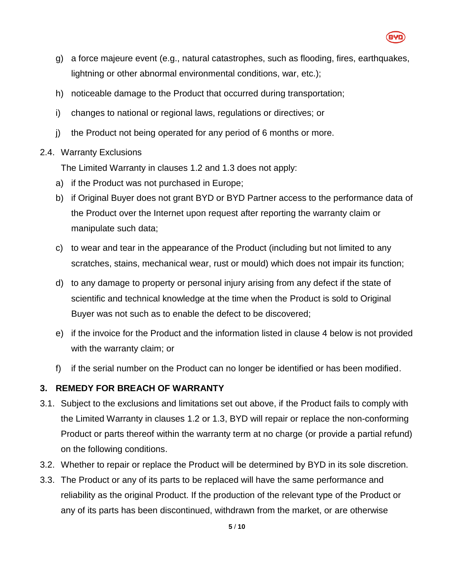

- g) a force majeure event (e.g., natural catastrophes, such as flooding, fires, earthquakes, lightning or other abnormal environmental conditions, war, etc.);
- h) noticeable damage to the Product that occurred during transportation;
- i) changes to national or regional laws, regulations or directives; or
- j) the Product not being operated for any period of 6 months or more.
- 2.4. Warranty Exclusions

The Limited Warranty in clauses [1.2](#page-0-1) and [1.3](#page-0-0) does not apply:

- a) if the Product was not purchased in Europe;
- b) if Original Buyer does not grant BYD or BYD Partner access to the performance data of the Product over the Internet upon request after reporting the warranty claim or manipulate such data;
- c) to wear and tear in the appearance of the Product (including but not limited to any scratches, stains, mechanical wear, rust or mould) which does not impair its function;
- d) to any damage to property or personal injury arising from any defect if the state of scientific and technical knowledge at the time when the Product is sold to Original Buyer was not such as to enable the defect to be discovered;
- e) if the invoice for the Product and the information listed in clause [4](#page-5-0) below is not provided with the warranty claim; or
- f) if the serial number on the Product can no longer be identified or has been modified.

## **3. REMEDY FOR BREACH OF WARRANTY**

- 3.1. Subject to the exclusions and limitations set out above, if the Product fails to comply with the Limited Warranty in clauses [1.2](#page-0-1) or [1.3,](#page-0-0) BYD will repair or replace the non-conforming Product or parts thereof within the warranty term at no charge (or provide a partial refund) on the following conditions.
- 3.2. Whether to repair or replace the Product will be determined by BYD in its sole discretion.
- 3.3. The Product or any of its parts to be replaced will have the same performance and reliability as the original Product. If the production of the relevant type of the Product or any of its parts has been discontinued, withdrawn from the market, or are otherwise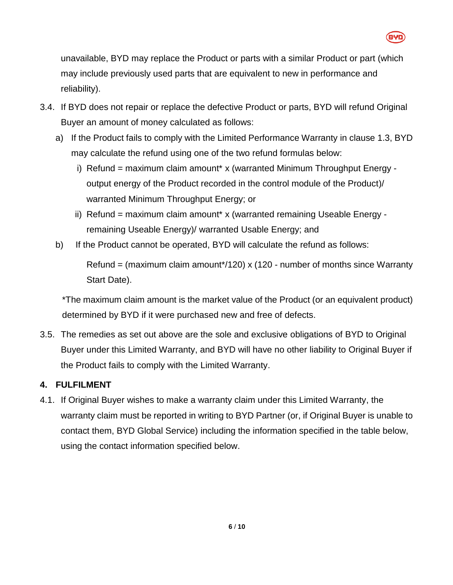

unavailable, BYD may replace the Product or parts with a similar Product or part (which may include previously used parts that are equivalent to new in performance and reliability).

- 3.4. If BYD does not repair or replace the defective Product or parts, BYD will refund Original Buyer an amount of money calculated as follows:
	- a) If the Product fails to comply with the Limited Performance Warranty in clause [1.3,](#page-0-0) BYD may calculate the refund using one of the two refund formulas below:
		- i) Refund = maximum claim amount\* x (warranted Minimum Throughput Energy output energy of the Product recorded in the control module of the Product)/ warranted Minimum Throughput Energy; or
		- ii) Refund = maximum claim amount\* x (warranted remaining Useable Energy remaining Useable Energy)/ warranted Usable Energy; and
	- b) If the Product cannot be operated, BYD will calculate the refund as follows:

Refund = (maximum claim amount\*/120) x (120 - number of months since Warranty Start Date).

\*The maximum claim amount is the market value of the Product (or an equivalent product) determined by BYD if it were purchased new and free of defects.

3.5. The remedies as set out above are the sole and exclusive obligations of BYD to Original Buyer under this Limited Warranty, and BYD will have no other liability to Original Buyer if the Product fails to comply with the Limited Warranty.

## <span id="page-5-0"></span>**4. FULFILMENT**

4.1. If Original Buyer wishes to make a warranty claim under this Limited Warranty, the warranty claim must be reported in writing to BYD Partner (or, if Original Buyer is unable to contact them, BYD Global Service) including the information specified in the table below, using the contact information specified below.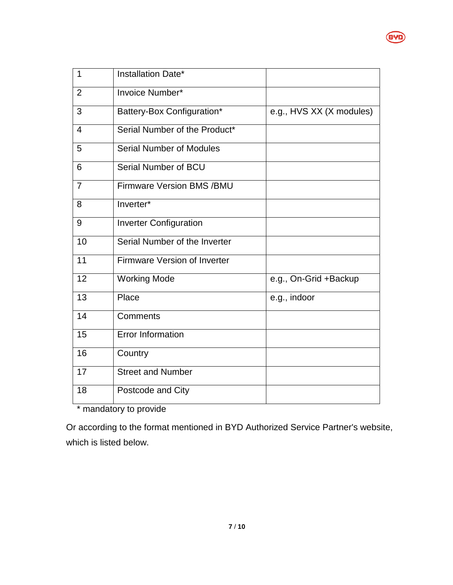| $\mathbf{1}$   | Installation Date*                  |                          |
|----------------|-------------------------------------|--------------------------|
| $\overline{2}$ | Invoice Number*                     |                          |
| 3              | Battery-Box Configuration*          | e.g., HVS XX (X modules) |
| $\overline{4}$ | Serial Number of the Product*       |                          |
| 5              | Serial Number of Modules            |                          |
| 6              | Serial Number of BCU                |                          |
| $\overline{7}$ | <b>Firmware Version BMS /BMU</b>    |                          |
| 8              | Inverter*                           |                          |
| 9              | <b>Inverter Configuration</b>       |                          |
| 10             | Serial Number of the Inverter       |                          |
| 11             | <b>Firmware Version of Inverter</b> |                          |
| 12             | <b>Working Mode</b>                 | e.g., On-Grid +Backup    |
| 13             | Place                               | e.g., indoor             |
| 14             | Comments                            |                          |
| 15             | <b>Error Information</b>            |                          |
| 16             | Country                             |                          |
| 17             | <b>Street and Number</b>            |                          |
| 18             | Postcode and City                   |                          |

**BYD** 

\* mandatory to provide

Or according to the format mentioned in BYD Authorized Service Partner's website, which is listed below.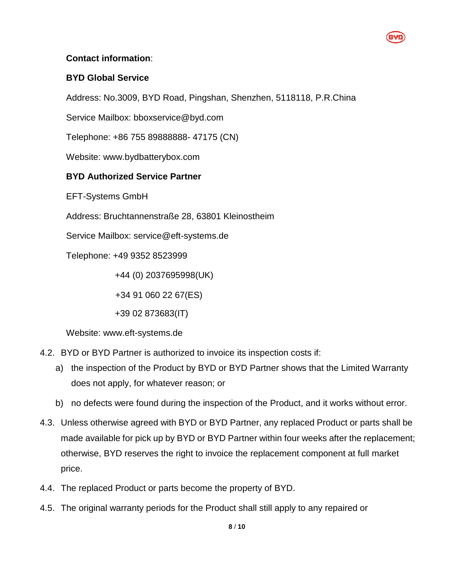### **Contact information**:

### **BYD Global Service**

Address: No.3009, BYD Road, Pingshan, Shenzhen, 5118118, P.R.China

Service Mailbox: bboxservice@byd.com

Telephone: +86 755 89888888- 47175 (CN)

Website: www.bydbatterybox.com

### **BYD Authorized Service Partner**

EFT-Systems GmbH

Address: Bruchtannenstraße 28, 63801 Kleinostheim

Service Mailbox: service@eft-systems.de

Telephone: +49 9352 8523999

+44 (0) 2037695998(UK)

+34 91 060 22 67(ES)

+39 02 873683(IT)

Website: [www.eft-systems.de](http://www.eft-systems.de/)

- 4.2. BYD or BYD Partner is authorized to invoice its inspection costs if:
	- a) the inspection of the Product by BYD or BYD Partner shows that the Limited Warranty does not apply, for whatever reason; or
	- b) no defects were found during the inspection of the Product, and it works without error.
- 4.3. Unless otherwise agreed with BYD or BYD Partner, any replaced Product or parts shall be made available for pick up by BYD or BYD Partner within four weeks after the replacement; otherwise, BYD reserves the right to invoice the replacement component at full market price.
- 4.4. The replaced Product or parts become the property of BYD.
- 4.5. The original warranty periods for the Product shall still apply to any repaired or

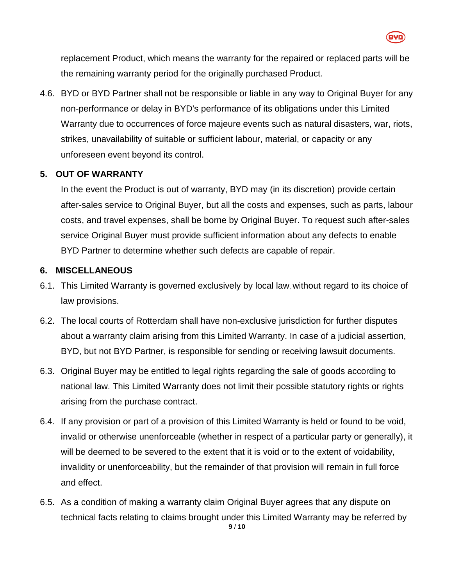

replacement Product, which means the warranty for the repaired or replaced parts will be the remaining warranty period for the originally purchased Product.

4.6. BYD or BYD Partner shall not be responsible or liable in any way to Original Buyer for any non-performance or delay in BYD's performance of its obligations under this Limited Warranty due to occurrences of force majeure events such as natural disasters, war, riots, strikes, unavailability of suitable or sufficient labour, material, or capacity or any unforeseen event beyond its control.

### **5. OUT OF WARRANTY**

In the event the Product is out of warranty, BYD may (in its discretion) provide certain after-sales service to Original Buyer, but all the costs and expenses, such as parts, labour costs, and travel expenses, shall be borne by Original Buyer. To request such after-sales service Original Buyer must provide sufficient information about any defects to enable BYD Partner to determine whether such defects are capable of repair.

### **6. MISCELLANEOUS**

- 6.1. This Limited Warranty is governed exclusively by local law, without regard to its choice of law provisions.
- 6.2. The local courts of Rotterdam shall have non-exclusive jurisdiction for further disputes about a warranty claim arising from this Limited Warranty. In case of a judicial assertion, BYD, but not BYD Partner, is responsible for sending or receiving lawsuit documents.
- 6.3. Original Buyer may be entitled to legal rights regarding the sale of goods according to national law. This Limited Warranty does not limit their possible statutory rights or rights arising from the purchase contract.
- 6.4. If any provision or part of a provision of this Limited Warranty is held or found to be void, invalid or otherwise unenforceable (whether in respect of a particular party or generally), it will be deemed to be severed to the extent that it is void or to the extent of voidability, invalidity or unenforceability, but the remainder of that provision will remain in full force and effect.
- **9** / **10** 6.5. As a condition of making a warranty claim Original Buyer agrees that any dispute on technical facts relating to claims brought under this Limited Warranty may be referred by